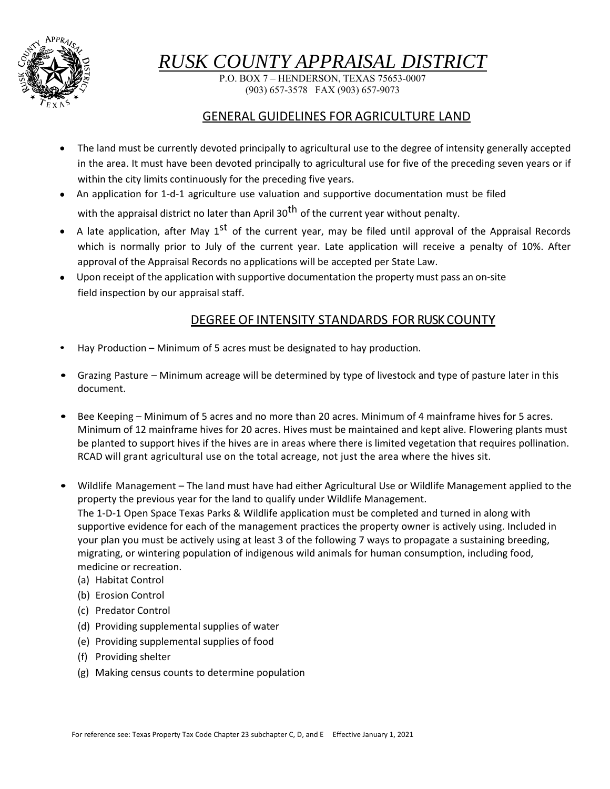

# *RUSK COUNTY APPRAISAL DISTRICT*

P.O. BOX 7 – HENDERSON, TEXAS 75653-0007 (903) 657-3578 FAX (903) 657-9073

#### GENERAL GUIDELINES FOR AGRICULTURE LAND

- The land must be currently devoted principally to agricultural use to the degree of intensity generally accepted in the area. It must have been devoted principally to agricultural use for five of the preceding seven years or if within the city limits continuously for the preceding five years.
- An application for 1-d-1 agriculture use valuation and supportive documentation must be filed with the appraisal district no later than April  $30^{th}$  of the current year without penalty.
- A late application, after May  $1^{st}$  of the current year, may be filed until approval of the Appraisal Records which is normally prior to July of the current year. Late application will receive a penalty of 10%. After approval of the Appraisal Records no applications will be accepted per State Law.
- Upon receipt of the application with supportive documentation the property must pass an on-site field inspection by our appraisal staff.

### DEGREE OF INTENSITY STANDARDS FOR RUSK COUNTY

- Hay Production Minimum of 5 acres must be designated to hay production.
- Grazing Pasture Minimum acreage will be determined by type of livestock and type of pasture later in this document.
- Bee Keeping Minimum of 5 acres and no more than 20 acres. Minimum of 4 mainframe hives for 5 acres. Minimum of 12 mainframe hives for 20 acres. Hives must be maintained and kept alive. Flowering plants must be planted to support hives if the hives are in areas where there is limited vegetation that requires pollination. RCAD will grant agricultural use on the total acreage, not just the area where the hives sit.
- Wildlife Management The land must have had either Agricultural Use or Wildlife Management applied to the property the previous year for the land to qualify under Wildlife Management. The 1‐D‐1 Open Space Texas Parks & Wildlife application must be completed and turned in along with supportive evidence for each of the management practices the property owner is actively using. Included in your plan you must be actively using at least 3 of the following 7 ways to propagate a sustaining breeding, migrating, or wintering population of indigenous wild animals for human consumption, including food, medicine or recreation.
	- (a) Habitat Control
	- (b) Erosion Control
	- (c) Predator Control
	- (d) Providing supplemental supplies of water
	- (e) Providing supplemental supplies of food
	- (f) Providing shelter
	- (g) Making census counts to determine population